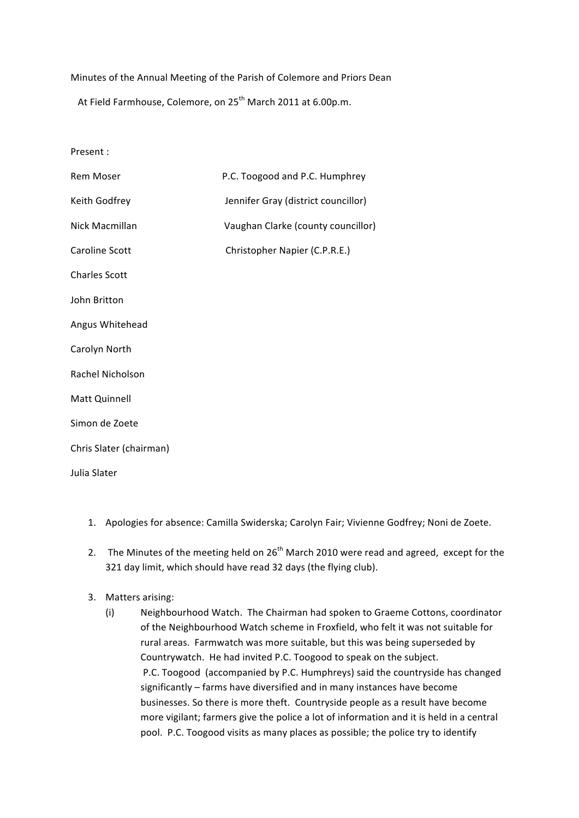## Minutes of the Annual Meeting of the Parish of Colemore and Priors Dean

At Field Farmhouse, Colemore, on  $25<sup>th</sup>$  March 2011 at 6.00p.m.

Present :

| <b>Rem Moser</b>        | P.C. Toogood and P.C. Humphrey      |
|-------------------------|-------------------------------------|
| Keith Godfrey           | Jennifer Gray (district councillor) |
| Nick Macmillan          | Vaughan Clarke (county councillor)  |
| Caroline Scott          | Christopher Napier (C.P.R.E.)       |
| <b>Charles Scott</b>    |                                     |
| John Britton            |                                     |
| Angus Whitehead         |                                     |
| Carolyn North           |                                     |
| Rachel Nicholson        |                                     |
| Matt Quinnell           |                                     |
| Simon de Zoete          |                                     |
| Chris Slater (chairman) |                                     |
| Julia Slater            |                                     |

- 1. Apologies for absence: Camilla Swiderska; Carolyn Fair; Vivienne Godfrey; Noni de Zoete.
- 2. The Minutes of the meeting held on  $26<sup>th</sup>$  March 2010 were read and agreed, except for the 321 day limit, which should have read 32 days (the flying club).
- 3. Matters arising:
	- (i) Neighbourhood Watch. The Chairman had spoken to Graeme Cottons, coordinator of the Neighbourhood Watch scheme in Froxfield, who felt it was not suitable for rural areas. Farmwatch was more suitable, but this was being superseded by Countrywatch. He had invited P.C. Toogood to speak on the subject. P.C. Toogood (accompanied by P.C. Humphreys) said the countryside has changed significantly – farms have diversified and in many instances have become businesses. So there is more theft. Countryside people as a result have become more vigilant; farmers give the police a lot of information and it is held in a central pool. P.C. Toogood visits as many places as possible; the police try to identify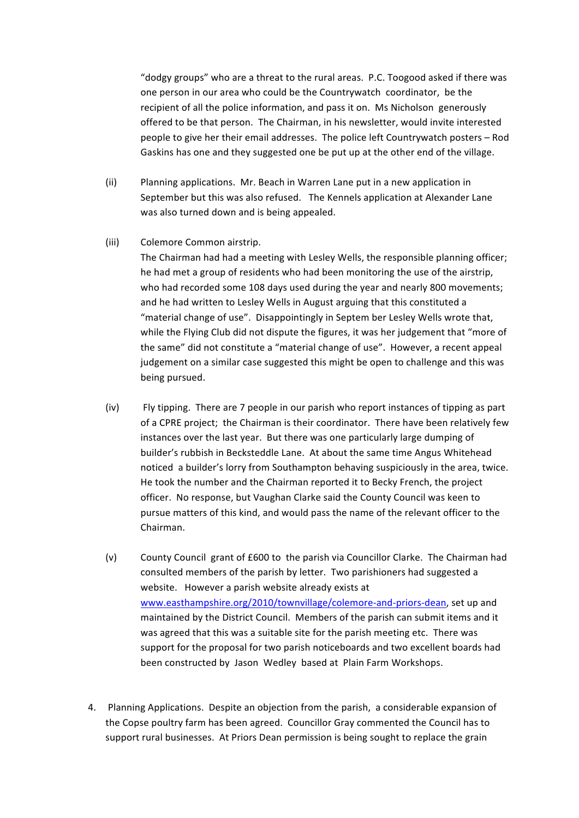"dodgy groups" who are a threat to the rural areas. P.C. Toogood asked if there was one person in our area who could be the Countrywatch coordinator, be the recipient of all the police information, and pass it on. Ms Nicholson generously offered to be that person. The Chairman, in his newsletter, would invite interested people to give her their email addresses. The police left Countrywatch posters - Rod Gaskins has one and they suggested one be put up at the other end of the village.

- (ii) Planning applications. Mr. Beach in Warren Lane put in a new application in September but this was also refused. The Kennels application at Alexander Lane was also turned down and is being appealed.
- (iii) Colemore Common airstrip.

The Chairman had had a meeting with Lesley Wells, the responsible planning officer; he had met a group of residents who had been monitoring the use of the airstrip, who had recorded some 108 days used during the year and nearly 800 movements; and he had written to Lesley Wells in August arguing that this constituted a "material change of use". Disappointingly in Septem ber Lesley Wells wrote that, while the Flying Club did not dispute the figures, it was her judgement that "more of the same" did not constitute a "material change of use". However, a recent appeal judgement on a similar case suggested this might be open to challenge and this was being pursued.

- (iv) Fly tipping. There are 7 people in our parish who report instances of tipping as part of a CPRE project; the Chairman is their coordinator. There have been relatively few instances over the last year. But there was one particularly large dumping of builder's rubbish in Becksteddle Lane. At about the same time Angus Whitehead noticed a builder's lorry from Southampton behaving suspiciously in the area, twice. He took the number and the Chairman reported it to Becky French, the project officer. No response, but Vaughan Clarke said the County Council was keen to pursue matters of this kind, and would pass the name of the relevant officer to the Chairman.
- (v) County Council grant of £600 to the parish via Councillor Clarke. The Chairman had consulted members of the parish by letter. Two parishioners had suggested a website. However a parish website already exists at www.easthampshire.org/2010/townvillage/colemore-and-priors-dean, set up and maintained by the District Council. Members of the parish can submit items and it was agreed that this was a suitable site for the parish meeting etc. There was support for the proposal for two parish noticeboards and two excellent boards had been constructed by Jason Wedley based at Plain Farm Workshops.
- 4. Planning Applications. Despite an objection from the parish, a considerable expansion of the Copse poultry farm has been agreed. Councillor Gray commented the Council has to support rural businesses. At Priors Dean permission is being sought to replace the grain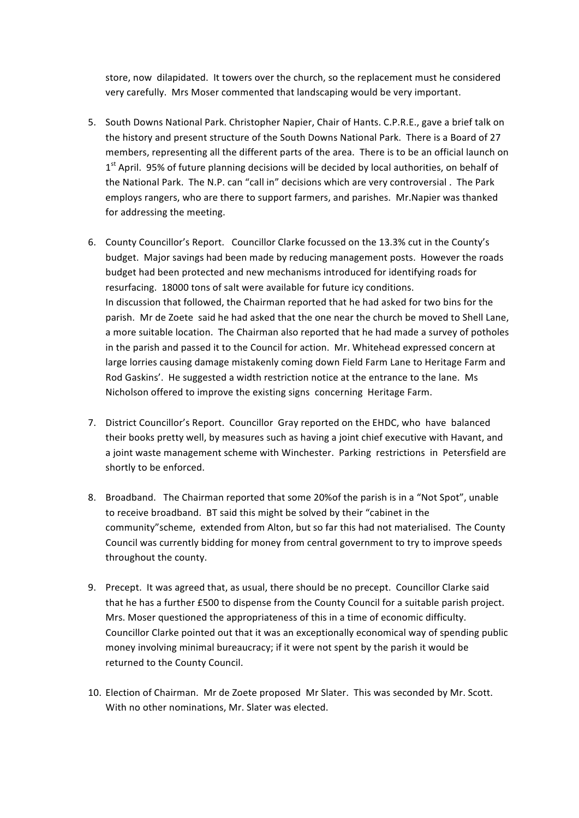store, now dilapidated. It towers over the church, so the replacement must he considered very carefully. Mrs Moser commented that landscaping would be very important.

- 5. South Downs National Park. Christopher Napier, Chair of Hants. C.P.R.E., gave a brief talk on the history and present structure of the South Downs National Park. There is a Board of 27 members, representing all the different parts of the area. There is to be an official launch on  $1<sup>st</sup>$  April. 95% of future planning decisions will be decided by local authorities, on behalf of the National Park. The N.P. can "call in" decisions which are very controversial. The Park employs rangers, who are there to support farmers, and parishes. Mr.Napier was thanked for addressing the meeting.
- 6. County Councillor's Report. Councillor Clarke focussed on the 13.3% cut in the County's budget. Major savings had been made by reducing management posts. However the roads budget had been protected and new mechanisms introduced for identifying roads for resurfacing. 18000 tons of salt were available for future icy conditions. In discussion that followed, the Chairman reported that he had asked for two bins for the parish. Mr de Zoete said he had asked that the one near the church be moved to Shell Lane. a more suitable location. The Chairman also reported that he had made a survey of potholes in the parish and passed it to the Council for action. Mr. Whitehead expressed concern at large lorries causing damage mistakenly coming down Field Farm Lane to Heritage Farm and Rod Gaskins'. He suggested a width restriction notice at the entrance to the lane. Ms Nicholson offered to improve the existing signs concerning Heritage Farm.
- 7. District Councillor's Report. Councillor Gray reported on the EHDC, who have balanced their books pretty well, by measures such as having a joint chief executive with Havant, and a joint waste management scheme with Winchester. Parking restrictions in Petersfield are shortly to be enforced.
- 8. Broadband. The Chairman reported that some 20% of the parish is in a "Not Spot", unable to receive broadband. BT said this might be solved by their "cabinet in the community"scheme, extended from Alton, but so far this had not materialised. The County Council was currently bidding for money from central government to try to improve speeds throughout the county.
- 9. Precept. It was agreed that, as usual, there should be no precept. Councillor Clarke said that he has a further £500 to dispense from the County Council for a suitable parish project. Mrs. Moser questioned the appropriateness of this in a time of economic difficulty. Councillor Clarke pointed out that it was an exceptionally economical way of spending public money involving minimal bureaucracy; if it were not spent by the parish it would be returned to the County Council.
- 10. Election of Chairman. Mr de Zoete proposed Mr Slater. This was seconded by Mr. Scott. With no other nominations, Mr. Slater was elected.